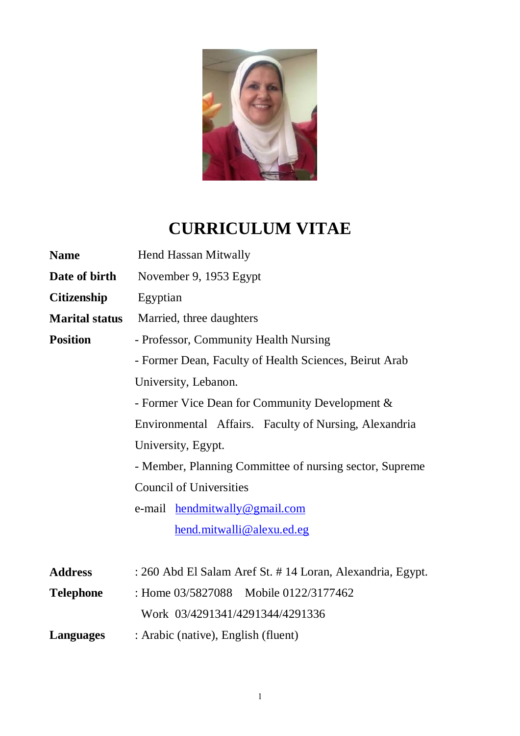

# **CURRICULUM VITAE**

| <b>Name</b>           | <b>Hend Hassan Mitwally</b>                                |
|-----------------------|------------------------------------------------------------|
| Date of birth         | November 9, 1953 Egypt                                     |
| <b>Citizenship</b>    | Egyptian                                                   |
| <b>Marital status</b> | Married, three daughters                                   |
| <b>Position</b>       | - Professor, Community Health Nursing                      |
|                       | - Former Dean, Faculty of Health Sciences, Beirut Arab     |
|                       | University, Lebanon.                                       |
|                       | - Former Vice Dean for Community Development &             |
|                       | Environmental Affairs. Faculty of Nursing, Alexandria      |
|                       | University, Egypt.                                         |
|                       | - Member, Planning Committee of nursing sector, Supreme    |
|                       | <b>Council of Universities</b>                             |
|                       | e-mail hendmitwally@gmail.com                              |
|                       | hend.mitwalli@alexu.ed.eg                                  |
|                       |                                                            |
| <b>Address</b>        | : 260 Abd El Salam Aref St. # 14 Loran, Alexandria, Egypt. |
| <b>Telephone</b>      | : Home 03/5827088 Mobile 0122/3177462                      |
|                       | Work 03/4291341/4291344/4291336                            |
| Languages             | : Arabic (native), English (fluent)                        |
|                       |                                                            |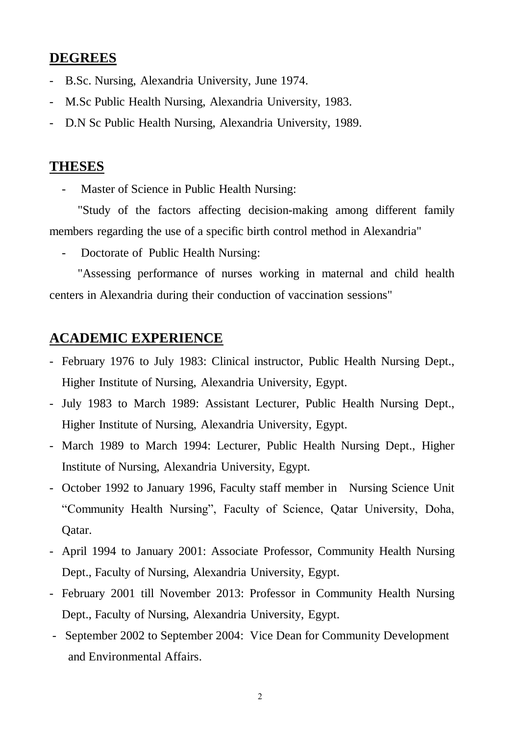## **DEGREES**

- B.Sc. Nursing, Alexandria University, June 1974.
- M.Sc Public Health Nursing, Alexandria University, 1983.
- D.N Sc Public Health Nursing, Alexandria University, 1989.

## **THESES**

Master of Science in Public Health Nursing:

 "Study of the factors affecting decision-making among different family members regarding the use of a specific birth control method in Alexandria"

Doctorate of Public Health Nursing:

 "Assessing performance of nurses working in maternal and child health centers in Alexandria during their conduction of vaccination sessions"

## **ACADEMIC EXPERIENCE**

- February 1976 to July 1983: Clinical instructor, Public Health Nursing Dept., Higher Institute of Nursing, Alexandria University, Egypt.
- July 1983 to March 1989: Assistant Lecturer, Public Health Nursing Dept., Higher Institute of Nursing, Alexandria University, Egypt.
- March 1989 to March 1994: Lecturer, Public Health Nursing Dept., Higher Institute of Nursing, Alexandria University, Egypt.
- October 1992 to January 1996, Faculty staff member in Nursing Science Unit "Community Health Nursing", Faculty of Science, Qatar University, Doha, Qatar.
- April 1994 to January 2001: Associate Professor, Community Health Nursing Dept., Faculty of Nursing, Alexandria University, Egypt.
- February 2001 till November 2013: Professor in Community Health Nursing Dept., Faculty of Nursing, Alexandria University, Egypt.
- September 2002 to September 2004: Vice Dean for Community Development and Environmental Affairs.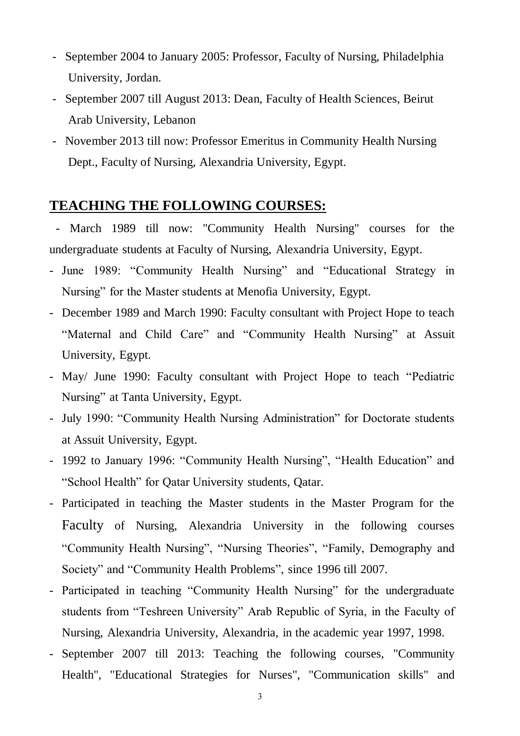- September 2004 to January 2005: Professor, Faculty of Nursing, Philadelphia University, Jordan.
- September 2007 till August 2013: Dean, Faculty of Health Sciences, Beirut Arab University, Lebanon
- November 2013 till now: Professor Emeritus in Community Health Nursing Dept., Faculty of Nursing, Alexandria University, Egypt.

## **TEACHING THE FOLLOWING COURSES:**

 - March 1989 till now: "Community Health Nursing" courses for the undergraduate students at Faculty of Nursing, Alexandria University, Egypt.

- June 1989: "Community Health Nursing" and "Educational Strategy in Nursing" for the Master students at Menofia University, Egypt.
- December 1989 and March 1990: Faculty consultant with Project Hope to teach "Maternal and Child Care" and "Community Health Nursing" at Assuit University, Egypt.
- May/ June 1990: Faculty consultant with Project Hope to teach "Pediatric Nursing" at Tanta University, Egypt.
- July 1990: "Community Health Nursing Administration" for Doctorate students at Assuit University, Egypt.
- 1992 to January 1996: "Community Health Nursing", "Health Education" and "School Health" for Qatar University students, Qatar.
- Participated in teaching the Master students in the Master Program for the Faculty of Nursing, Alexandria University in the following courses "Community Health Nursing", "Nursing Theories", "Family, Demography and Society" and "Community Health Problems", since 1996 till 2007.
- Participated in teaching "Community Health Nursing" for the undergraduate students from "Teshreen University" Arab Republic of Syria, in the Faculty of Nursing, Alexandria University, Alexandria, in the academic year 1997, 1998.
- September 2007 till 2013: Teaching the following courses, "Community Health", "Educational Strategies for Nurses", "Communication skills" and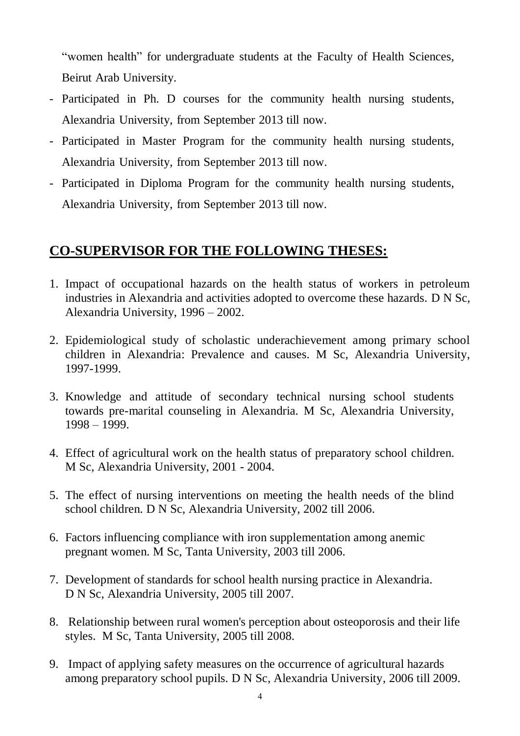"women health" for undergraduate students at the Faculty of Health Sciences, Beirut Arab University.

- Participated in Ph. D courses for the community health nursing students, Alexandria University, from September 2013 till now.
- Participated in Master Program for the community health nursing students, Alexandria University, from September 2013 till now.
- Participated in Diploma Program for the community health nursing students, Alexandria University, from September 2013 till now.

# **CO-SUPERVISOR FOR THE FOLLOWING THESES:**

- 1. Impact of occupational hazards on the health status of workers in petroleum industries in Alexandria and activities adopted to overcome these hazards. D N Sc, Alexandria University, 1996 – 2002.
- 2. Epidemiological study of scholastic underachievement among primary school children in Alexandria: Prevalence and causes. M Sc, Alexandria University, 1997-1999.
- 3. Knowledge and attitude of secondary technical nursing school students towards pre-marital counseling in Alexandria. M Sc, Alexandria University, 1998 – 1999.
- 4. Effect of agricultural work on the health status of preparatory school children. M Sc, Alexandria University, 2001 - 2004.
- 5. The effect of nursing interventions on meeting the health needs of the blind school children. D N Sc, Alexandria University, 2002 till 2006.
- 6. Factors influencing compliance with iron supplementation among anemic pregnant women. M Sc, Tanta University, 2003 till 2006.
- 7. Development of standards for school health nursing practice in Alexandria. D N Sc, Alexandria University, 2005 till 2007.
- 8. Relationship between rural women's perception about osteoporosis and their life styles. M Sc, Tanta University, 2005 till 2008.
- 9. Impact of applying safety measures on the occurrence of agricultural hazards among preparatory school pupils. D N Sc, Alexandria University, 2006 till 2009.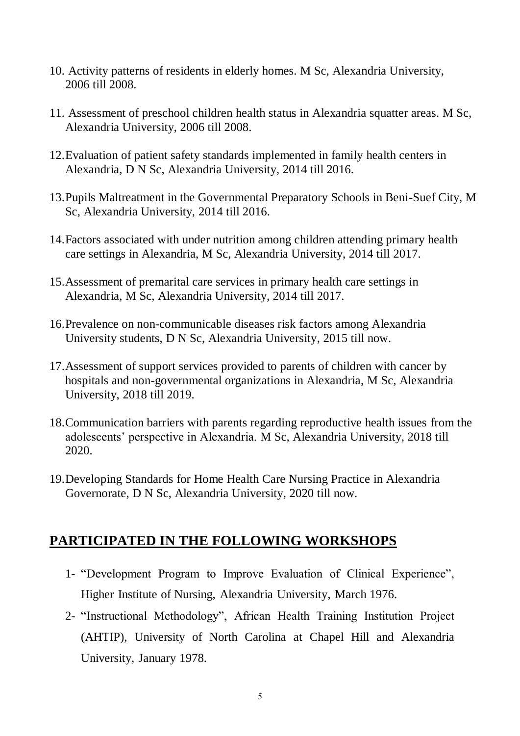- 10. Activity patterns of residents in elderly homes. M Sc, Alexandria University, 2006 till 2008.
- 11. Assessment of preschool children health status in Alexandria squatter areas. M Sc, Alexandria University, 2006 till 2008.
- 12.Evaluation of patient safety standards implemented in family health centers in Alexandria, D N Sc, Alexandria University, 2014 till 2016.
- 13.Pupils Maltreatment in the Governmental Preparatory Schools in Beni-Suef City, M Sc, Alexandria University, 2014 till 2016.
- 14.Factors associated with under nutrition among children attending primary health care settings in Alexandria, M Sc, Alexandria University, 2014 till 2017.
- 15.Assessment of premarital care services in primary health care settings in Alexandria, M Sc, Alexandria University, 2014 till 2017.
- 16.Prevalence on non-communicable diseases risk factors among Alexandria University students, D N Sc, Alexandria University, 2015 till now.
- 17.Assessment of support services provided to parents of children with cancer by hospitals and non-governmental organizations in Alexandria, M Sc, Alexandria University, 2018 till 2019.
- 18.Communication barriers with parents regarding reproductive health issues from the adolescents' perspective in Alexandria. M Sc, Alexandria University, 2018 till 2020.
- 19.Developing Standards for Home Health Care Nursing Practice in Alexandria Governorate, D N Sc, Alexandria University, 2020 till now.

# **PARTICIPATED IN THE FOLLOWING WORKSHOPS**

- 1- "Development Program to Improve Evaluation of Clinical Experience", Higher Institute of Nursing, Alexandria University, March 1976.
- 2- "Instructional Methodology", African Health Training Institution Project (AHTIP), University of North Carolina at Chapel Hill and Alexandria University, January 1978.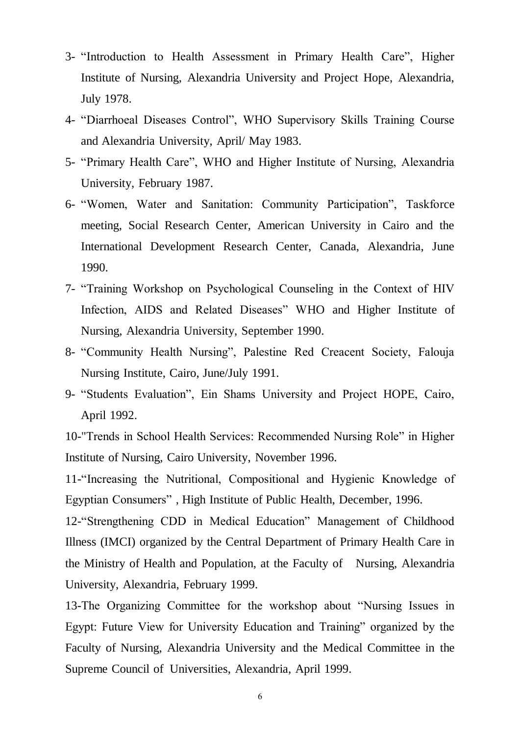- 3- "Introduction to Health Assessment in Primary Health Care", Higher Institute of Nursing, Alexandria University and Project Hope, Alexandria, July 1978.
- 4- "Diarrhoeal Diseases Control", WHO Supervisory Skills Training Course and Alexandria University, April/ May 1983.
- 5- "Primary Health Care", WHO and Higher Institute of Nursing, Alexandria University, February 1987.
- 6- "Women, Water and Sanitation: Community Participation", Taskforce meeting, Social Research Center, American University in Cairo and the International Development Research Center, Canada, Alexandria, June 1990.
- 7- "Training Workshop on Psychological Counseling in the Context of HIV Infection, AIDS and Related Diseases" WHO and Higher Institute of Nursing, Alexandria University, September 1990.
- 8- "Community Health Nursing", Palestine Red Creacent Society, Falouja Nursing Institute, Cairo, June/July 1991.
- 9- "Students Evaluation", Ein Shams University and Project HOPE, Cairo, April 1992.

10-"Trends in School Health Services: Recommended Nursing Role" in Higher Institute of Nursing, Cairo University, November 1996.

11-"Increasing the Nutritional, Compositional and Hygienic Knowledge of Egyptian Consumers" , High Institute of Public Health, December, 1996.

12-"Strengthening CDD in Medical Education" Management of Childhood Illness (IMCI) organized by the Central Department of Primary Health Care in the Ministry of Health and Population, at the Faculty of Nursing, Alexandria University, Alexandria, February 1999.

13-The Organizing Committee for the workshop about "Nursing Issues in Egypt: Future View for University Education and Training" organized by the Faculty of Nursing, Alexandria University and the Medical Committee in the Supreme Council of Universities, Alexandria, April 1999.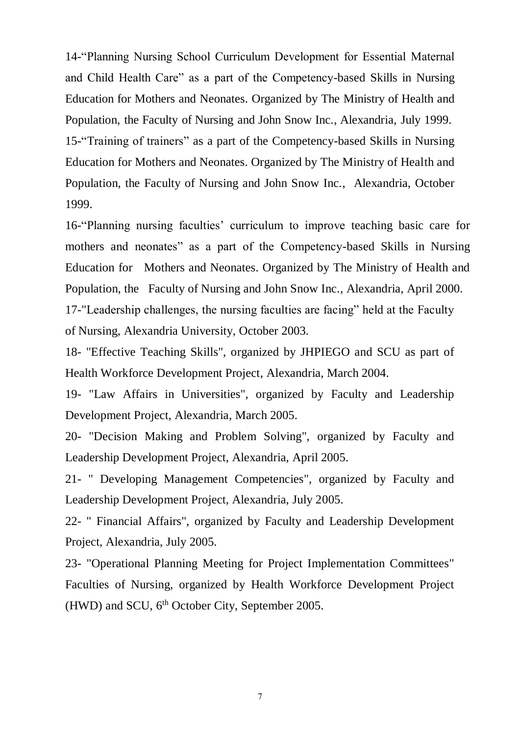14-"Planning Nursing School Curriculum Development for Essential Maternal and Child Health Care" as a part of the Competency-based Skills in Nursing Education for Mothers and Neonates. Organized by The Ministry of Health and Population, the Faculty of Nursing and John Snow Inc., Alexandria, July 1999. 15-"Training of trainers" as a part of the Competency-based Skills in Nursing Education for Mothers and Neonates. Organized by The Ministry of Health and Population, the Faculty of Nursing and John Snow Inc., Alexandria, October 1999.

16-"Planning nursing faculties' curriculum to improve teaching basic care for mothers and neonates" as a part of the Competency-based Skills in Nursing Education for Mothers and Neonates. Organized by The Ministry of Health and Population, the Faculty of Nursing and John Snow Inc., Alexandria, April 2000. 17-"Leadership challenges, the nursing faculties are facing" held at the Faculty of Nursing, Alexandria University, October 2003.

18- "Effective Teaching Skills", organized by JHPIEGO and SCU as part of Health Workforce Development Project, Alexandria, March 2004.

19- "Law Affairs in Universities", organized by Faculty and Leadership Development Project, Alexandria, March 2005.

20- "Decision Making and Problem Solving", organized by Faculty and Leadership Development Project, Alexandria, April 2005.

21- " Developing Management Competencies", organized by Faculty and Leadership Development Project, Alexandria, July 2005.

22- " Financial Affairs", organized by Faculty and Leadership Development Project, Alexandria, July 2005.

23- "Operational Planning Meeting for Project Implementation Committees" Faculties of Nursing, organized by Health Workforce Development Project (HWD) and SCU, 6<sup>th</sup> October City, September 2005.

7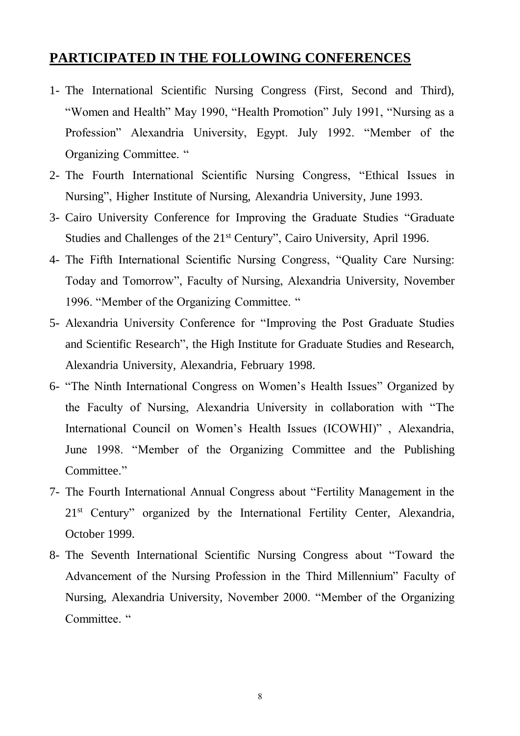#### **PARTICIPATED IN THE FOLLOWING CONFERENCES**

- 1- The International Scientific Nursing Congress (First, Second and Third), "Women and Health" May 1990, "Health Promotion" July 1991, "Nursing as a Profession" Alexandria University, Egypt. July 1992. "Member of the Organizing Committee. "
- 2- The Fourth International Scientific Nursing Congress, "Ethical Issues in Nursing", Higher Institute of Nursing, Alexandria University, June 1993.
- 3- Cairo University Conference for Improving the Graduate Studies "Graduate Studies and Challenges of the 21<sup>st</sup> Century", Cairo University, April 1996.
- 4- The Fifth International Scientific Nursing Congress, "Quality Care Nursing: Today and Tomorrow", Faculty of Nursing, Alexandria University, November 1996. "Member of the Organizing Committee. "
- 5- Alexandria University Conference for "Improving the Post Graduate Studies and Scientific Research", the High Institute for Graduate Studies and Research, Alexandria University, Alexandria, February 1998.
- 6- "The Ninth International Congress on Women's Health Issues" Organized by the Faculty of Nursing, Alexandria University in collaboration with "The International Council on Women's Health Issues (ICOWHI)" , Alexandria, June 1998. "Member of the Organizing Committee and the Publishing Committee."
- 7- The Fourth International Annual Congress about "Fertility Management in the 21<sup>st</sup> Century" organized by the International Fertility Center, Alexandria, October 1999.
- 8- The Seventh International Scientific Nursing Congress about "Toward the Advancement of the Nursing Profession in the Third Millennium" Faculty of Nursing, Alexandria University, November 2000. "Member of the Organizing Committee. "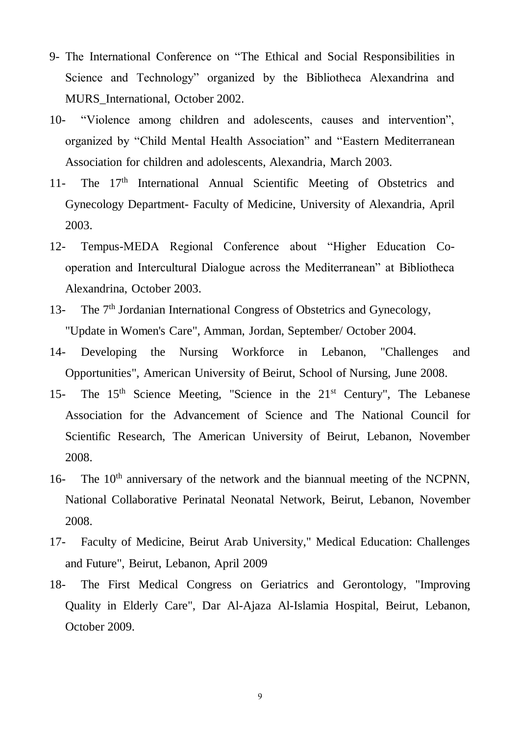- 9- The International Conference on "The Ethical and Social Responsibilities in Science and Technology" organized by the Bibliotheca Alexandrina and MURS\_International, October 2002.
- 10- "Violence among children and adolescents, causes and intervention", organized by "Child Mental Health Association" and "Eastern Mediterranean Association for children and adolescents, Alexandria, March 2003.
- 11- The 17<sup>th</sup> International Annual Scientific Meeting of Obstetrics and Gynecology Department- Faculty of Medicine, University of Alexandria, April 2003.
- 12- Tempus-MEDA Regional Conference about "Higher Education Cooperation and Intercultural Dialogue across the Mediterranean" at Bibliotheca Alexandrina, October 2003.
- 13- The 7<sup>th</sup> Jordanian International Congress of Obstetrics and Gynecology, "Update in Women's Care", Amman, Jordan, September/ October 2004.
- 14- Developing the Nursing Workforce in Lebanon, "Challenges and Opportunities", American University of Beirut, School of Nursing, June 2008.
- 15- The 15<sup>th</sup> Science Meeting, "Science in the 21<sup>st</sup> Century", The Lebanese Association for the Advancement of Science and The National Council for Scientific Research, The American University of Beirut, Lebanon, November 2008.
- 16- The 10<sup>th</sup> anniversary of the network and the biannual meeting of the NCPNN, National Collaborative Perinatal Neonatal Network, Beirut, Lebanon, November 2008.
- 17- Faculty of Medicine, Beirut Arab University," Medical Education: Challenges and Future", Beirut, Lebanon, April 2009
- 18- The First Medical Congress on Geriatrics and Gerontology, "Improving Quality in Elderly Care", Dar Al-Ajaza Al-Islamia Hospital, Beirut, Lebanon, October 2009.

9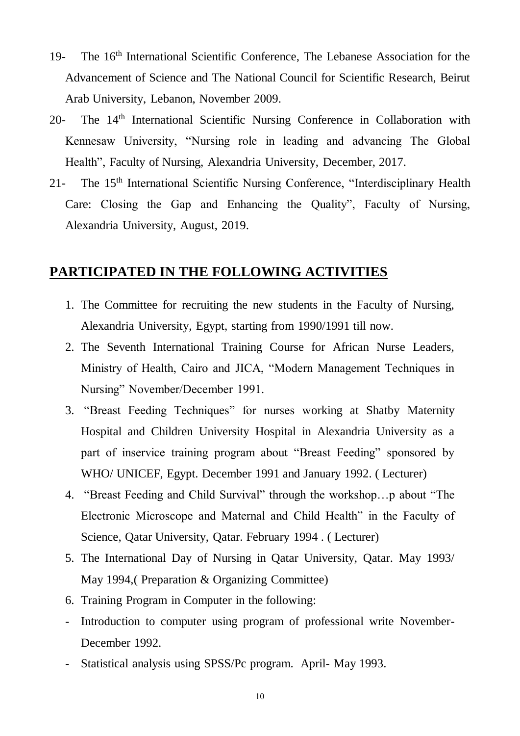- 19- The 16th International Scientific Conference, The Lebanese Association for the Advancement of Science and The National Council for Scientific Research, Beirut Arab University, Lebanon, November 2009.
- 20- The 14<sup>th</sup> International Scientific Nursing Conference in Collaboration with Kennesaw University, "Nursing role in leading and advancing The Global Health", Faculty of Nursing, Alexandria University, December, 2017.
- 21- The 15th International Scientific Nursing Conference, "Interdisciplinary Health Care: Closing the Gap and Enhancing the Quality", Faculty of Nursing, Alexandria University, August, 2019.

## **PARTICIPATED IN THE FOLLOWING ACTIVITIES**

- 1. The Committee for recruiting the new students in the Faculty of Nursing, Alexandria University, Egypt, starting from 1990/1991 till now.
- 2. The Seventh International Training Course for African Nurse Leaders, Ministry of Health, Cairo and JICA, "Modern Management Techniques in Nursing" November/December 1991.
- 3. "Breast Feeding Techniques" for nurses working at Shatby Maternity Hospital and Children University Hospital in Alexandria University as a part of inservice training program about "Breast Feeding" sponsored by WHO/ UNICEF, Egypt. December 1991 and January 1992. ( Lecturer)
- 4. "Breast Feeding and Child Survival" through the workshop…p about "The Electronic Microscope and Maternal and Child Health" in the Faculty of Science, Qatar University, Qatar. February 1994 . ( Lecturer)
- 5. The International Day of Nursing in Qatar University, Qatar. May 1993/ May 1994,( Preparation & Organizing Committee)
- 6. Training Program in Computer in the following:
- Introduction to computer using program of professional write November-December 1992.
- Statistical analysis using SPSS/Pc program. April- May 1993.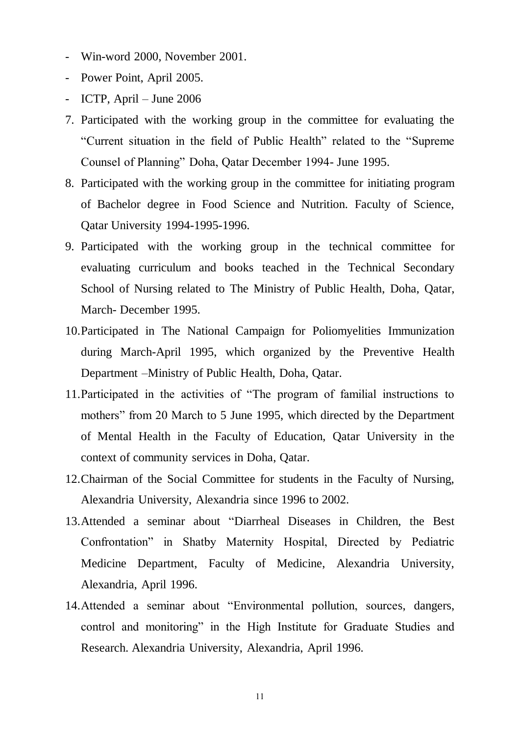- Win-word 2000, November 2001.
- Power Point, April 2005.
- ICTP, April June 2006
- 7. Participated with the working group in the committee for evaluating the "Current situation in the field of Public Health" related to the "Supreme Counsel of Planning" Doha, Qatar December 1994- June 1995.
- 8. Participated with the working group in the committee for initiating program of Bachelor degree in Food Science and Nutrition. Faculty of Science, Qatar University 1994-1995-1996.
- 9. Participated with the working group in the technical committee for evaluating curriculum and books teached in the Technical Secondary School of Nursing related to The Ministry of Public Health, Doha, Qatar, March- December 1995.
- 10.Participated in The National Campaign for Poliomyelities Immunization during March-April 1995, which organized by the Preventive Health Department –Ministry of Public Health, Doha, Qatar.
- 11.Participated in the activities of "The program of familial instructions to mothers" from 20 March to 5 June 1995, which directed by the Department of Mental Health in the Faculty of Education, Qatar University in the context of community services in Doha, Qatar.
- 12.Chairman of the Social Committee for students in the Faculty of Nursing, Alexandria University, Alexandria since 1996 to 2002.
- 13.Attended a seminar about "Diarrheal Diseases in Children, the Best Confrontation" in Shatby Maternity Hospital, Directed by Pediatric Medicine Department, Faculty of Medicine, Alexandria University, Alexandria, April 1996.
- 14.Attended a seminar about "Environmental pollution, sources, dangers, control and monitoring" in the High Institute for Graduate Studies and Research. Alexandria University, Alexandria, April 1996.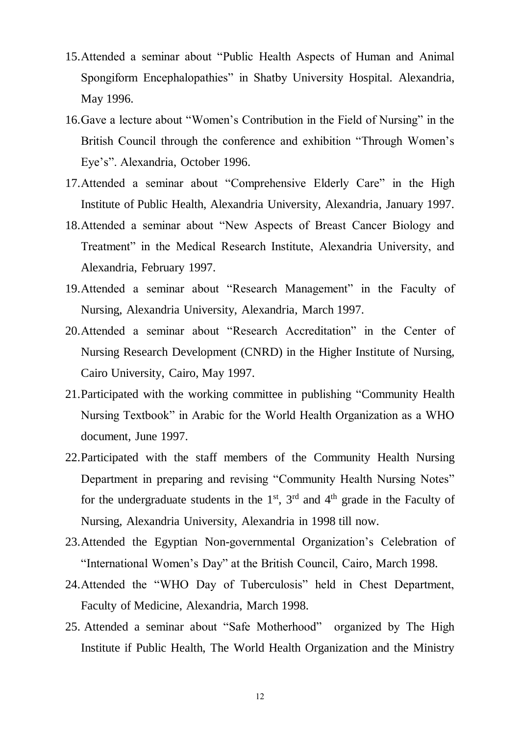- 15.Attended a seminar about "Public Health Aspects of Human and Animal Spongiform Encephalopathies" in Shatby University Hospital. Alexandria, May 1996.
- 16.Gave a lecture about "Women's Contribution in the Field of Nursing" in the British Council through the conference and exhibition "Through Women's Eye's". Alexandria, October 1996.
- 17.Attended a seminar about "Comprehensive Elderly Care" in the High Institute of Public Health, Alexandria University, Alexandria, January 1997.
- 18.Attended a seminar about "New Aspects of Breast Cancer Biology and Treatment" in the Medical Research Institute, Alexandria University, and Alexandria, February 1997.
- 19.Attended a seminar about "Research Management" in the Faculty of Nursing, Alexandria University, Alexandria, March 1997.
- 20.Attended a seminar about "Research Accreditation" in the Center of Nursing Research Development (CNRD) in the Higher Institute of Nursing, Cairo University, Cairo, May 1997.
- 21.Participated with the working committee in publishing "Community Health Nursing Textbook" in Arabic for the World Health Organization as a WHO document, June 1997.
- 22.Participated with the staff members of the Community Health Nursing Department in preparing and revising "Community Health Nursing Notes" for the undergraduate students in the  $1<sup>st</sup>$ ,  $3<sup>rd</sup>$  and  $4<sup>th</sup>$  grade in the Faculty of Nursing, Alexandria University, Alexandria in 1998 till now.
- 23.Attended the Egyptian Non-governmental Organization's Celebration of "International Women's Day" at the British Council, Cairo, March 1998.
- 24.Attended the "WHO Day of Tuberculosis" held in Chest Department, Faculty of Medicine, Alexandria, March 1998.
- 25. Attended a seminar about "Safe Motherhood" organized by The High Institute if Public Health, The World Health Organization and the Ministry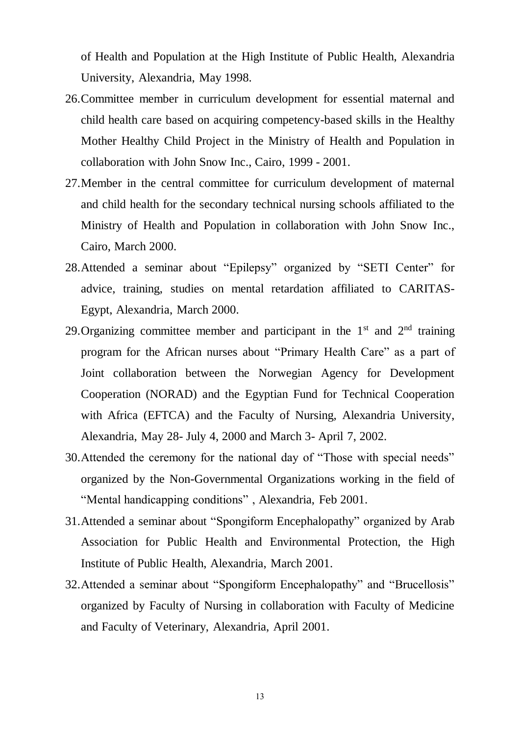of Health and Population at the High Institute of Public Health, Alexandria University, Alexandria, May 1998.

- 26.Committee member in curriculum development for essential maternal and child health care based on acquiring competency-based skills in the Healthy Mother Healthy Child Project in the Ministry of Health and Population in collaboration with John Snow Inc., Cairo, 1999 - 2001.
- 27.Member in the central committee for curriculum development of maternal and child health for the secondary technical nursing schools affiliated to the Ministry of Health and Population in collaboration with John Snow Inc., Cairo, March 2000.
- 28.Attended a seminar about "Epilepsy" organized by "SETI Center" for advice, training, studies on mental retardation affiliated to CARITAS-Egypt, Alexandria, March 2000.
- 29. Organizing committee member and participant in the  $1<sup>st</sup>$  and  $2<sup>nd</sup>$  training program for the African nurses about "Primary Health Care" as a part of Joint collaboration between the Norwegian Agency for Development Cooperation (NORAD) and the Egyptian Fund for Technical Cooperation with Africa (EFTCA) and the Faculty of Nursing, Alexandria University, Alexandria, May 28- July 4, 2000 and March 3- April 7, 2002.
- 30.Attended the ceremony for the national day of "Those with special needs" organized by the Non-Governmental Organizations working in the field of "Mental handicapping conditions" , Alexandria, Feb 2001.
- 31.Attended a seminar about "Spongiform Encephalopathy" organized by Arab Association for Public Health and Environmental Protection, the High Institute of Public Health, Alexandria, March 2001.
- 32.Attended a seminar about "Spongiform Encephalopathy" and "Brucellosis" organized by Faculty of Nursing in collaboration with Faculty of Medicine and Faculty of Veterinary, Alexandria, April 2001.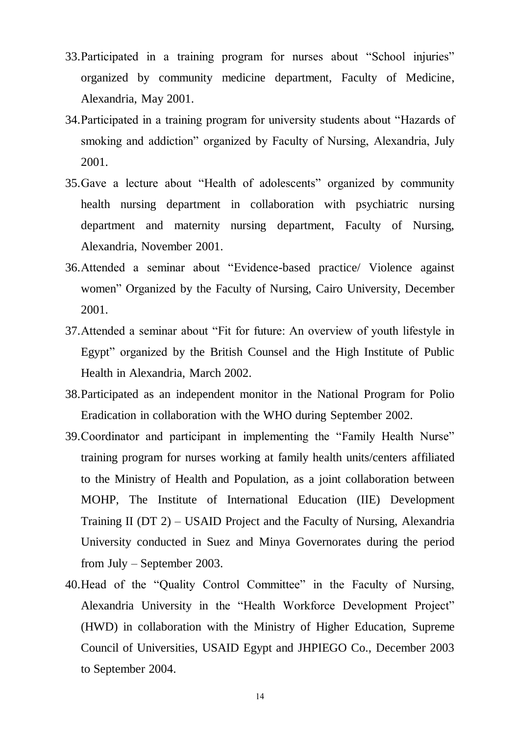- 33.Participated in a training program for nurses about "School injuries" organized by community medicine department, Faculty of Medicine, Alexandria, May 2001.
- 34.Participated in a training program for university students about "Hazards of smoking and addiction" organized by Faculty of Nursing, Alexandria, July 2001.
- 35.Gave a lecture about "Health of adolescents" organized by community health nursing department in collaboration with psychiatric nursing department and maternity nursing department, Faculty of Nursing, Alexandria, November 2001.
- 36.Attended a seminar about "Evidence-based practice/ Violence against women" Organized by the Faculty of Nursing, Cairo University, December 2001.
- 37.Attended a seminar about "Fit for future: An overview of youth lifestyle in Egypt" organized by the British Counsel and the High Institute of Public Health in Alexandria, March 2002.
- 38.Participated as an independent monitor in the National Program for Polio Eradication in collaboration with the WHO during September 2002.
- 39.Coordinator and participant in implementing the "Family Health Nurse" training program for nurses working at family health units/centers affiliated to the Ministry of Health and Population, as a joint collaboration between MOHP, The Institute of International Education (IIE) Development Training II (DT 2) – USAID Project and the Faculty of Nursing, Alexandria University conducted in Suez and Minya Governorates during the period from July – September 2003.
- 40.Head of the "Quality Control Committee" in the Faculty of Nursing, Alexandria University in the "Health Workforce Development Project" (HWD) in collaboration with the Ministry of Higher Education, Supreme Council of Universities, USAID Egypt and JHPIEGO Co., December 2003 to September 2004.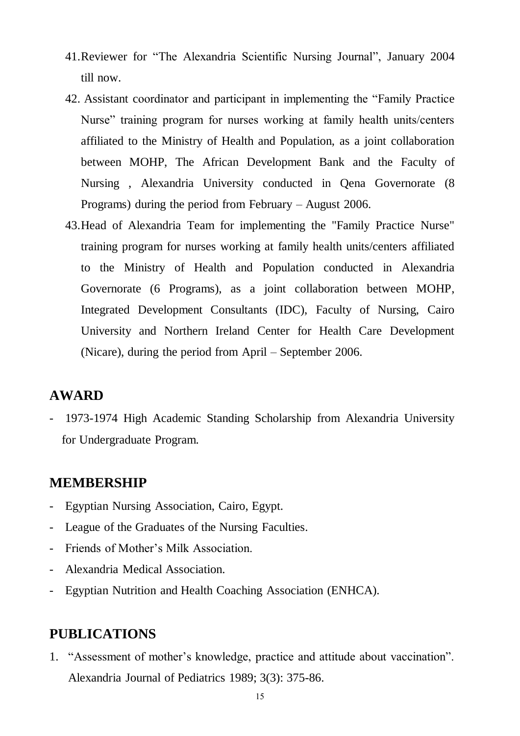- 41.Reviewer for "The Alexandria Scientific Nursing Journal", January 2004 till now.
- 42. Assistant coordinator and participant in implementing the "Family Practice Nurse" training program for nurses working at family health units/centers affiliated to the Ministry of Health and Population, as a joint collaboration between MOHP, The African Development Bank and the Faculty of Nursing , Alexandria University conducted in Qena Governorate (8 Programs) during the period from February – August 2006.
- 43.Head of Alexandria Team for implementing the "Family Practice Nurse" training program for nurses working at family health units/centers affiliated to the Ministry of Health and Population conducted in Alexandria Governorate (6 Programs), as a joint collaboration between MOHP, Integrated Development Consultants (IDC), Faculty of Nursing, Cairo University and Northern Ireland Center for Health Care Development (Nicare), during the period from April – September 2006.

## **AWARD**

- 1973-1974 High Academic Standing Scholarship from Alexandria University for Undergraduate Program.

#### **MEMBERSHIP**

- Egyptian Nursing Association, Cairo, Egypt.
- League of the Graduates of the Nursing Faculties.
- Friends of Mother's Milk Association.
- Alexandria Medical Association.
- Egyptian Nutrition and Health Coaching Association (ENHCA).

## **PUBLICATIONS**

1. "Assessment of mother's knowledge, practice and attitude about vaccination". Alexandria Journal of Pediatrics 1989; 3(3): 375-86.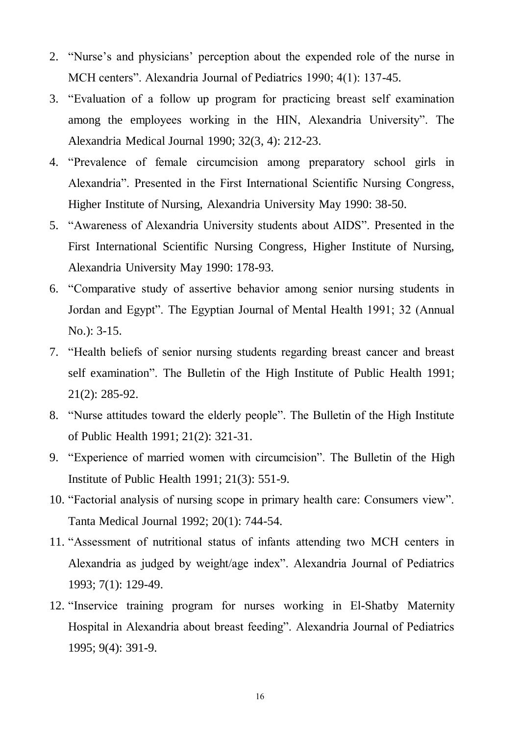- 2. "Nurse's and physicians' perception about the expended role of the nurse in MCH centers". Alexandria Journal of Pediatrics 1990; 4(1): 137-45.
- 3. "Evaluation of a follow up program for practicing breast self examination among the employees working in the HIN, Alexandria University". The Alexandria Medical Journal 1990; 32(3, 4): 212-23.
- 4. "Prevalence of female circumcision among preparatory school girls in Alexandria". Presented in the First International Scientific Nursing Congress, Higher Institute of Nursing, Alexandria University May 1990: 38-50.
- 5. "Awareness of Alexandria University students about AIDS". Presented in the First International Scientific Nursing Congress, Higher Institute of Nursing, Alexandria University May 1990: 178-93.
- 6. "Comparative study of assertive behavior among senior nursing students in Jordan and Egypt". The Egyptian Journal of Mental Health 1991; 32 (Annual No.): 3-15.
- 7. "Health beliefs of senior nursing students regarding breast cancer and breast self examination". The Bulletin of the High Institute of Public Health 1991; 21(2): 285-92.
- 8. "Nurse attitudes toward the elderly people". The Bulletin of the High Institute of Public Health 1991; 21(2): 321-31.
- 9. "Experience of married women with circumcision". The Bulletin of the High Institute of Public Health 1991; 21(3): 551-9.
- 10. "Factorial analysis of nursing scope in primary health care: Consumers view". Tanta Medical Journal 1992; 20(1): 744-54.
- 11. "Assessment of nutritional status of infants attending two MCH centers in Alexandria as judged by weight/age index". Alexandria Journal of Pediatrics 1993; 7(1): 129-49.
- 12. "Inservice training program for nurses working in El-Shatby Maternity Hospital in Alexandria about breast feeding". Alexandria Journal of Pediatrics 1995; 9(4): 391-9.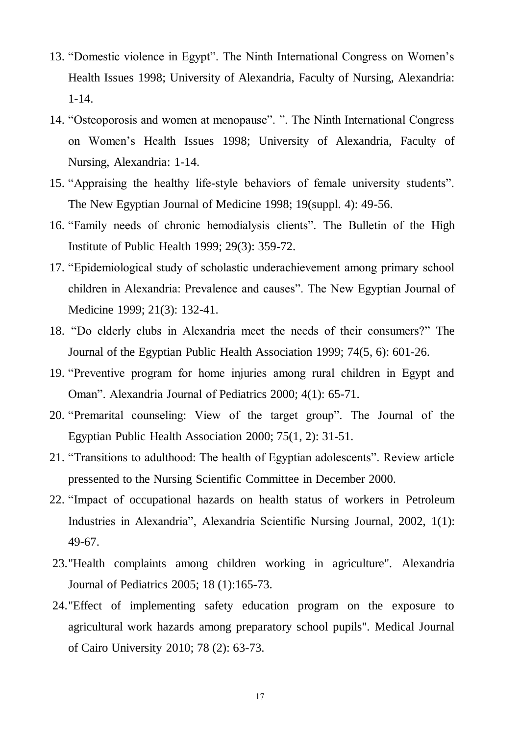- 13. "Domestic violence in Egypt". The Ninth International Congress on Women's Health Issues 1998; University of Alexandria, Faculty of Nursing, Alexandria: 1-14.
- 14. "Osteoporosis and women at menopause". ". The Ninth International Congress on Women's Health Issues 1998; University of Alexandria, Faculty of Nursing, Alexandria: 1-14.
- 15. "Appraising the healthy life-style behaviors of female university students". The New Egyptian Journal of Medicine 1998; 19(suppl. 4): 49-56.
- 16. "Family needs of chronic hemodialysis clients". The Bulletin of the High Institute of Public Health 1999; 29(3): 359-72.
- 17. "Epidemiological study of scholastic underachievement among primary school children in Alexandria: Prevalence and causes". The New Egyptian Journal of Medicine 1999; 21(3): 132-41.
- 18. "Do elderly clubs in Alexandria meet the needs of their consumers?" The Journal of the Egyptian Public Health Association 1999; 74(5, 6): 601-26.
- 19. "Preventive program for home injuries among rural children in Egypt and Oman". Alexandria Journal of Pediatrics 2000; 4(1): 65-71.
- 20. "Premarital counseling: View of the target group". The Journal of the Egyptian Public Health Association 2000; 75(1, 2): 31-51.
- 21. "Transitions to adulthood: The health of Egyptian adolescents". Review article pressented to the Nursing Scientific Committee in December 2000.
- 22. "Impact of occupational hazards on health status of workers in Petroleum Industries in Alexandria", Alexandria Scientific Nursing Journal, 2002, 1(1): 49-67.
- 23."Health complaints among children working in agriculture". Alexandria Journal of Pediatrics 2005; 18 (1):165-73.
- 24."Effect of implementing safety education program on the exposure to agricultural work hazards among preparatory school pupils". Medical Journal of Cairo University 2010; 78 (2): 63-73.